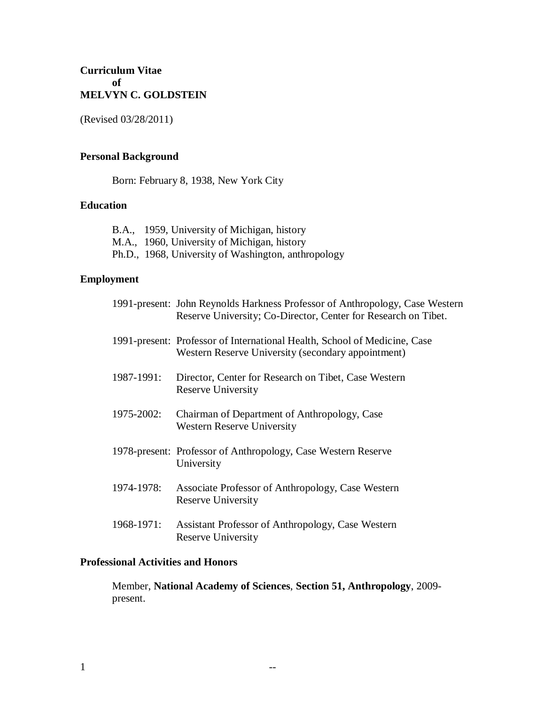## **Curriculum Vitae of MELVYN C. GOLDSTEIN**

(Revised 03/28/2011)

# **Personal Background**

Born: February 8, 1938, New York City

### **Education**

B.A., 1959, University of Michigan, history M.A., 1960, University of Michigan, history Ph.D., 1968, University of Washington, anthropology

## **Employment**

|            | 1991-present: John Reynolds Harkness Professor of Anthropology, Case Western<br>Reserve University; Co-Director, Center for Research on Tibet. |
|------------|------------------------------------------------------------------------------------------------------------------------------------------------|
|            | 1991-present: Professor of International Health, School of Medicine, Case<br>Western Reserve University (secondary appointment)                |
| 1987-1991: | Director, Center for Research on Tibet, Case Western<br>Reserve University                                                                     |
| 1975-2002: | Chairman of Department of Anthropology, Case<br>Western Reserve University                                                                     |
|            | 1978-present: Professor of Anthropology, Case Western Reserve<br>University                                                                    |
| 1974-1978: | Associate Professor of Anthropology, Case Western<br>Reserve University                                                                        |
| 1968-1971: | Assistant Professor of Anthropology, Case Western<br>Reserve University                                                                        |

## **Professional Activities and Honors**

Member, **National Academy of Sciences**, **Section 51, Anthropology**, 2009 present.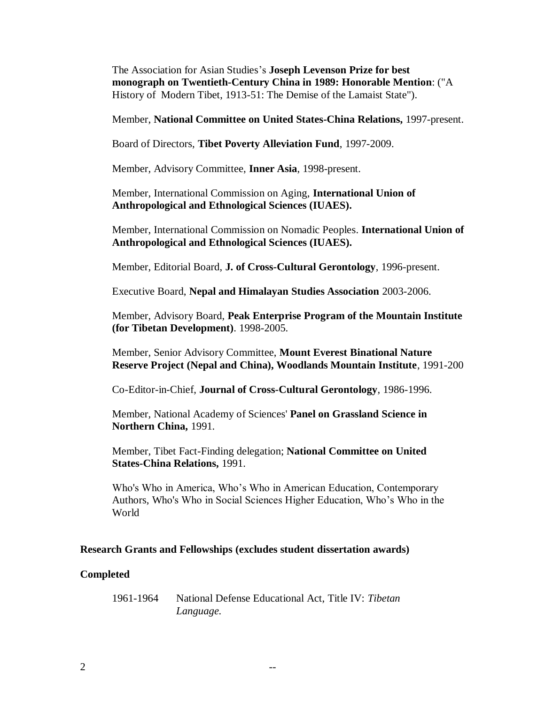The Association for Asian Studies"s **Joseph Levenson Prize for best monograph on Twentieth-Century China in 1989: Honorable Mention**: ("A History of Modern Tibet, 1913-51: The Demise of the Lamaist State").

Member, **National Committee on United States-China Relations,** 1997-present.

Board of Directors, **Tibet Poverty Alleviation Fund**, 1997-2009.

Member, Advisory Committee, **Inner Asia**, 1998-present.

Member, International Commission on Aging, **International Union of Anthropological and Ethnological Sciences (IUAES).**

Member, International Commission on Nomadic Peoples. **International Union of Anthropological and Ethnological Sciences (IUAES).**

Member, Editorial Board, **J. of Cross-Cultural Gerontology**, 1996-present.

Executive Board, **Nepal and Himalayan Studies Association** 2003-2006.

Member, Advisory Board, **Peak Enterprise Program of the Mountain Institute (for Tibetan Development)**. 1998-2005.

Member, Senior Advisory Committee, **Mount Everest Binational Nature Reserve Project (Nepal and China), Woodlands Mountain Institute**, 1991-200

Co-Editor-in-Chief, **Journal of Cross-Cultural Gerontology**, 1986-1996.

Member, National Academy of Sciences' **Panel on Grassland Science in Northern China,** 1991.

Member, Tibet Fact-Finding delegation; **National Committee on United States-China Relations,** 1991.

Who's Who in America, Who"s Who in American Education, Contemporary Authors, Who's Who in Social Sciences Higher Education, Who"s Who in the World

#### **Research Grants and Fellowships (excludes student dissertation awards)**

#### **Completed**

1961-1964 National Defense Educational Act, Title IV: *Tibetan Language.*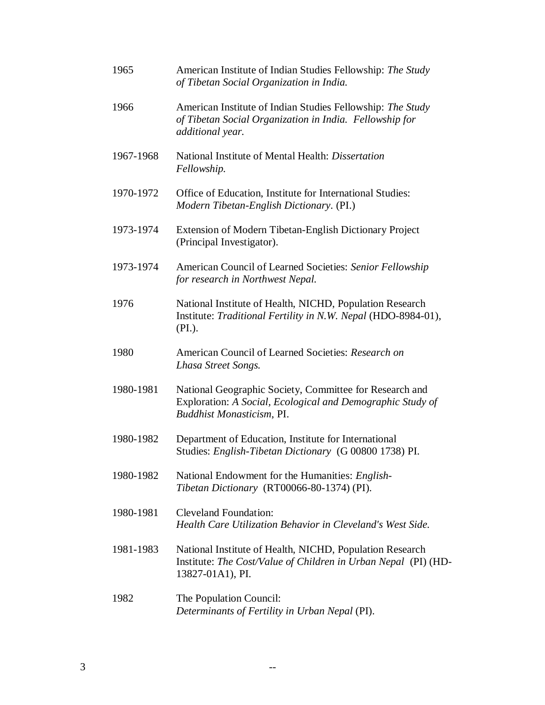| 1965      | American Institute of Indian Studies Fellowship: The Study<br>of Tibetan Social Organization in India.                                                    |
|-----------|-----------------------------------------------------------------------------------------------------------------------------------------------------------|
| 1966      | American Institute of Indian Studies Fellowship: The Study<br>of Tibetan Social Organization in India. Fellowship for<br>additional year.                 |
| 1967-1968 | National Institute of Mental Health: Dissertation<br>Fellowship.                                                                                          |
| 1970-1972 | Office of Education, Institute for International Studies:<br>Modern Tibetan-English Dictionary. (PI.)                                                     |
| 1973-1974 | <b>Extension of Modern Tibetan-English Dictionary Project</b><br>(Principal Investigator).                                                                |
| 1973-1974 | American Council of Learned Societies: Senior Fellowship<br>for research in Northwest Nepal.                                                              |
| 1976      | National Institute of Health, NICHD, Population Research<br>Institute: Traditional Fertility in N.W. Nepal (HDO-8984-01),<br>$(PI.)$ .                    |
| 1980      | American Council of Learned Societies: Research on<br>Lhasa Street Songs.                                                                                 |
| 1980-1981 | National Geographic Society, Committee for Research and<br>Exploration: A Social, Ecological and Demographic Study of<br><b>Buddhist Monasticism, PI.</b> |
| 1980-1982 | Department of Education, Institute for International<br>Studies: English-Tibetan Dictionary (G 00800 1738) PI.                                            |
| 1980-1982 | National Endowment for the Humanities: English-<br>Tibetan Dictionary (RT00066-80-1374) (PI).                                                             |
| 1980-1981 | <b>Cleveland Foundation:</b><br>Health Care Utilization Behavior in Cleveland's West Side.                                                                |
| 1981-1983 | National Institute of Health, NICHD, Population Research<br>Institute: The Cost/Value of Children in Urban Nepal (PI) (HD-<br>13827-01A1), PI.            |
| 1982      | The Population Council:<br>Determinants of Fertility in Urban Nepal (PI).                                                                                 |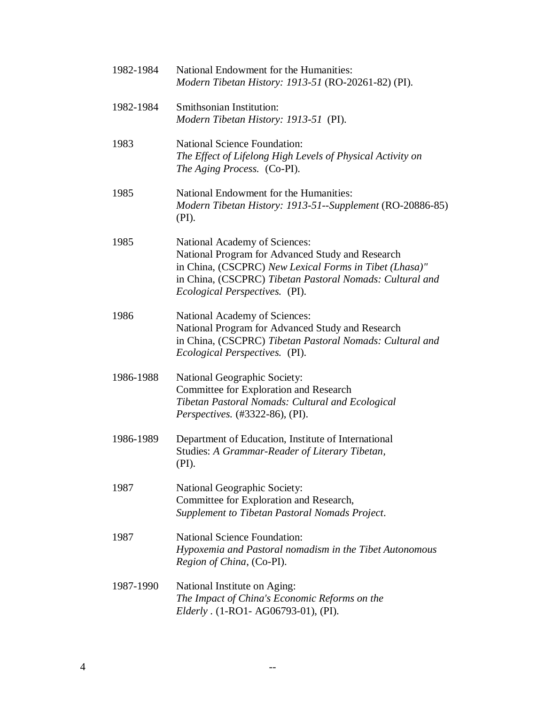| 1982-1984 | National Endowment for the Humanities:<br>Modern Tibetan History: 1913-51 (RO-20261-82) (PI).                                                                                                                                                    |
|-----------|--------------------------------------------------------------------------------------------------------------------------------------------------------------------------------------------------------------------------------------------------|
| 1982-1984 | Smithsonian Institution:<br>Modern Tibetan History: 1913-51 (PI).                                                                                                                                                                                |
| 1983      | <b>National Science Foundation:</b><br>The Effect of Lifelong High Levels of Physical Activity on<br>The Aging Process. (Co-PI).                                                                                                                 |
| 1985      | National Endowment for the Humanities:<br>Modern Tibetan History: 1913-51--Supplement (RO-20886-85)<br>(PI).                                                                                                                                     |
| 1985      | National Academy of Sciences:<br>National Program for Advanced Study and Research<br>in China, (CSCPRC) New Lexical Forms in Tibet (Lhasa)"<br>in China, (CSCPRC) Tibetan Pastoral Nomads: Cultural and<br><i>Ecological Perspectives.</i> (PI). |
| 1986      | National Academy of Sciences:<br>National Program for Advanced Study and Research<br>in China, (CSCPRC) Tibetan Pastoral Nomads: Cultural and<br>Ecological Perspectives. (PI).                                                                  |
| 1986-1988 | National Geographic Society:<br>Committee for Exploration and Research<br>Tibetan Pastoral Nomads: Cultural and Ecological<br><i>Perspectives.</i> (#3322-86), (PI).                                                                             |
| 1986-1989 | Department of Education, Institute of International<br>Studies: A Grammar-Reader of Literary Tibetan,<br>(PI).                                                                                                                                   |
| 1987      | National Geographic Society:<br>Committee for Exploration and Research,<br>Supplement to Tibetan Pastoral Nomads Project.                                                                                                                        |
| 1987      | <b>National Science Foundation:</b><br>Hypoxemia and Pastoral nomadism in the Tibet Autonomous<br>Region of China, (Co-PI).                                                                                                                      |
| 1987-1990 | National Institute on Aging:<br>The Impact of China's Economic Reforms on the<br><i>Elderly</i> . (1-RO1- AG06793-01), (PI).                                                                                                                     |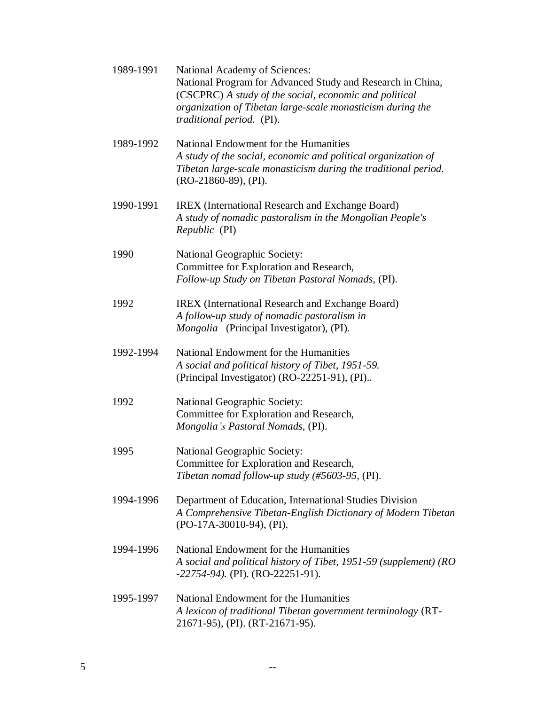| 1989-1991 | National Academy of Sciences:<br>National Program for Advanced Study and Research in China,<br>(CSCPRC) A study of the social, economic and political<br>organization of Tibetan large-scale monasticism during the<br>traditional period. (PI). |
|-----------|--------------------------------------------------------------------------------------------------------------------------------------------------------------------------------------------------------------------------------------------------|
| 1989-1992 | National Endowment for the Humanities<br>A study of the social, economic and political organization of<br>Tibetan large-scale monasticism during the traditional period.<br>$(RO-21860-89)$ , $(PI)$ .                                           |
| 1990-1991 | IREX (International Research and Exchange Board)<br>A study of nomadic pastoralism in the Mongolian People's<br>Republic (PI)                                                                                                                    |
| 1990      | National Geographic Society:<br>Committee for Exploration and Research,<br>Follow-up Study on Tibetan Pastoral Nomads, (PI).                                                                                                                     |
| 1992      | <b>IREX</b> (International Research and Exchange Board)<br>A follow-up study of nomadic pastoralism in<br>Mongolia (Principal Investigator), (PI).                                                                                               |
| 1992-1994 | National Endowment for the Humanities<br>A social and political history of Tibet, 1951-59.<br>(Principal Investigator) (RO-22251-91), (PI)                                                                                                       |
| 1992      | National Geographic Society:<br>Committee for Exploration and Research,<br>Mongolia's Pastoral Nomads, (PI).                                                                                                                                     |
| 1995      | National Geographic Society:<br>Committee for Exploration and Research,<br>Tibetan nomad follow-up study (#5603-95, (PI).                                                                                                                        |
| 1994-1996 | Department of Education, International Studies Division<br>A Comprehensive Tibetan-English Dictionary of Modern Tibetan<br>$(PO-17A-30010-94)$ , $(PI)$ .                                                                                        |
| 1994-1996 | National Endowment for the Humanities<br>A social and political history of Tibet, 1951-59 (supplement) (RO<br>$-22754-94$ ). (PI). (RO $-22251-91$ ).                                                                                            |
| 1995-1997 | National Endowment for the Humanities<br>A lexicon of traditional Tibetan government terminology (RT-<br>21671-95), (PI). (RT-21671-95).                                                                                                         |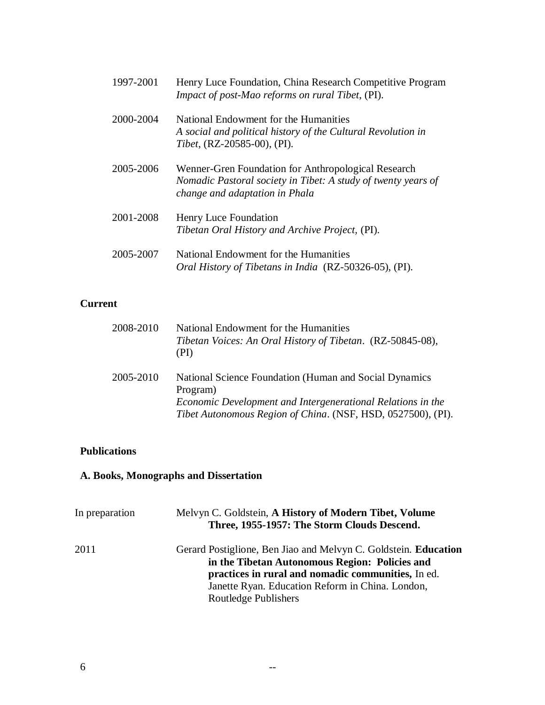| 1997-2001 | Henry Luce Foundation, China Research Competitive Program<br>Impact of post-Mao reforms on rural Tibet, (PI).                                          |
|-----------|--------------------------------------------------------------------------------------------------------------------------------------------------------|
| 2000-2004 | National Endowment for the Humanities<br>A social and political history of the Cultural Revolution in<br><i>Tibet,</i> (RZ-20585-00), (PI).            |
| 2005-2006 | Wenner-Gren Foundation for Anthropological Research<br>Nomadic Pastoral society in Tibet: A study of twenty years of<br>change and adaptation in Phala |
| 2001-2008 | Henry Luce Foundation<br>Tibetan Oral History and Archive Project, (PI).                                                                               |
| 2005-2007 | National Endowment for the Humanities<br>Oral History of Tibetans in India (RZ-50326-05), (PI).                                                        |

# **Current**

| 2008-2010 | National Endowment for the Humanities<br>Tibetan Voices: An Oral History of Tibetan. (RZ-50845-08),<br>(PI)                                                                                       |
|-----------|---------------------------------------------------------------------------------------------------------------------------------------------------------------------------------------------------|
| 2005-2010 | National Science Foundation (Human and Social Dynamics<br>Program)<br>Economic Development and Intergenerational Relations in the<br>Tibet Autonomous Region of China. (NSF, HSD, 0527500), (PI). |

# **Publications**

# **A. Books, Monographs and Dissertation**

| In preparation | Melvyn C. Goldstein, A History of Modern Tibet, Volume<br>Three, 1955-1957: The Storm Clouds Descend.                                                                                                                                                      |
|----------------|------------------------------------------------------------------------------------------------------------------------------------------------------------------------------------------------------------------------------------------------------------|
| 2011           | Gerard Postiglione, Ben Jiao and Melvyn C. Goldstein. <b>Education</b><br>in the Tibetan Autonomous Region: Policies and<br>practices in rural and nomadic communities, In ed.<br>Janette Ryan. Education Reform in China. London,<br>Routledge Publishers |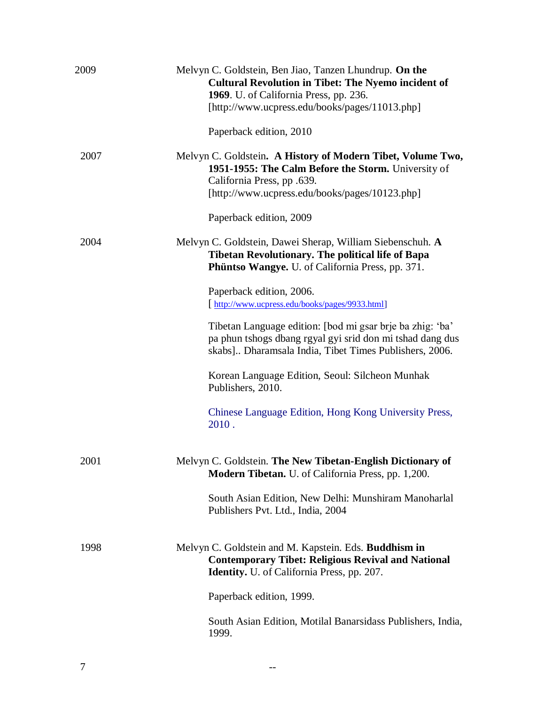| 2009 | Melvyn C. Goldstein, Ben Jiao, Tanzen Lhundrup. On the<br><b>Cultural Revolution in Tibet: The Nyemo incident of</b><br>1969. U. of California Press, pp. 236.<br>[http://www.ucpress.edu/books/pages/11013.php] |
|------|------------------------------------------------------------------------------------------------------------------------------------------------------------------------------------------------------------------|
|      | Paperback edition, 2010                                                                                                                                                                                          |
| 2007 | Melvyn C. Goldstein. A History of Modern Tibet, Volume Two,<br>1951-1955: The Calm Before the Storm. University of<br>California Press, pp .639.<br>[http://www.ucpress.edu/books/pages/10123.php]               |
|      | Paperback edition, 2009                                                                                                                                                                                          |
| 2004 | Melvyn C. Goldstein, Dawei Sherap, William Siebenschuh. A<br><b>Tibetan Revolutionary. The political life of Bapa</b><br>Phüntso Wangye. U. of California Press, pp. 371.                                        |
|      | Paperback edition, 2006.                                                                                                                                                                                         |
|      | [http://www.ucpress.edu/books/pages/9933.html]                                                                                                                                                                   |
|      | Tibetan Language edition: [bod mi gsar brje ba zhig: 'ba'<br>pa phun tshogs dbang rgyal gyi srid don mi tshad dang dus<br>skabs] Dharamsala India, Tibet Times Publishers, 2006.                                 |
|      | Korean Language Edition, Seoul: Silcheon Munhak<br>Publishers, 2010.                                                                                                                                             |
|      | Chinese Language Edition, Hong Kong University Press,<br>2010.                                                                                                                                                   |
| 2001 | Melvyn C. Goldstein. The New Tibetan-English Dictionary of<br><b>Modern Tibetan.</b> U. of California Press, pp. 1,200.                                                                                          |
|      | South Asian Edition, New Delhi: Munshiram Manoharlal<br>Publishers Pvt. Ltd., India, 2004                                                                                                                        |
| 1998 | Melvyn C. Goldstein and M. Kapstein. Eds. <b>Buddhism in</b><br><b>Contemporary Tibet: Religious Revival and National</b><br><b>Identity.</b> U. of California Press, pp. 207.                                   |
|      | Paperback edition, 1999.                                                                                                                                                                                         |
|      | South Asian Edition, Motilal Banarsidass Publishers, India,<br>1999.                                                                                                                                             |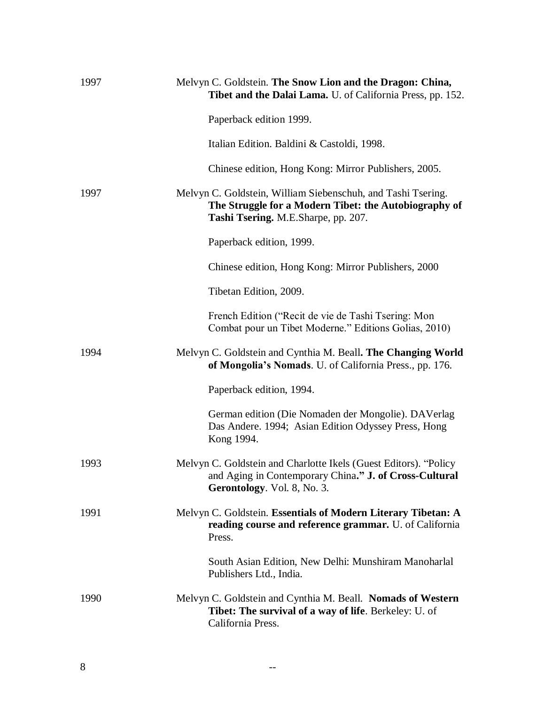| 1997 | Melvyn C. Goldstein. The Snow Lion and the Dragon: China,<br><b>Tibet and the Dalai Lama.</b> U. of California Press, pp. 152.                               |
|------|--------------------------------------------------------------------------------------------------------------------------------------------------------------|
|      | Paperback edition 1999.                                                                                                                                      |
|      | Italian Edition. Baldini & Castoldi, 1998.                                                                                                                   |
|      | Chinese edition, Hong Kong: Mirror Publishers, 2005.                                                                                                         |
| 1997 | Melvyn C. Goldstein, William Siebenschuh, and Tashi Tsering.<br>The Struggle for a Modern Tibet: the Autobiography of<br>Tashi Tsering. M.E.Sharpe, pp. 207. |
|      | Paperback edition, 1999.                                                                                                                                     |
|      | Chinese edition, Hong Kong: Mirror Publishers, 2000                                                                                                          |
|      | Tibetan Edition, 2009.                                                                                                                                       |
|      | French Edition ("Recit de vie de Tashi Tsering: Mon<br>Combat pour un Tibet Moderne." Editions Golias, 2010)                                                 |
| 1994 | Melvyn C. Goldstein and Cynthia M. Beall. The Changing World<br>of Mongolia's Nomads. U. of California Press., pp. 176.                                      |
|      | Paperback edition, 1994.                                                                                                                                     |
|      | German edition (Die Nomaden der Mongolie). DAVerlag<br>Das Andere. 1994; Asian Edition Odyssey Press, Hong<br>Kong 1994.                                     |
| 1993 | Melvyn C. Goldstein and Charlotte Ikels (Guest Editors). "Policy<br>and Aging in Contemporary China." J. of Cross-Cultural<br>Gerontology. Vol. 8, No. 3.    |
| 1991 | Melvyn C. Goldstein. Essentials of Modern Literary Tibetan: A<br>reading course and reference grammar. U. of California<br>Press.                            |
|      | South Asian Edition, New Delhi: Munshiram Manoharlal<br>Publishers Ltd., India.                                                                              |
| 1990 | Melvyn C. Goldstein and Cynthia M. Beall. Nomads of Western<br><b>Tibet: The survival of a way of life. Berkeley: U. of</b><br>California Press.             |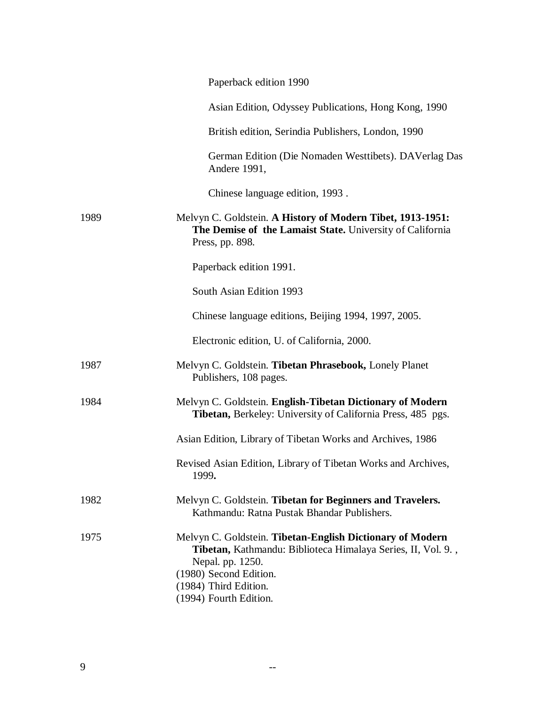|      | Paperback edition 1990                                                                                                                                                                                                     |
|------|----------------------------------------------------------------------------------------------------------------------------------------------------------------------------------------------------------------------------|
|      | Asian Edition, Odyssey Publications, Hong Kong, 1990                                                                                                                                                                       |
|      | British edition, Serindia Publishers, London, 1990                                                                                                                                                                         |
|      | German Edition (Die Nomaden Westtibets). DAVerlag Das<br>Andere 1991,                                                                                                                                                      |
|      | Chinese language edition, 1993.                                                                                                                                                                                            |
| 1989 | Melvyn C. Goldstein. A History of Modern Tibet, 1913-1951:<br>The Demise of the Lamaist State. University of California<br>Press, pp. 898.                                                                                 |
|      | Paperback edition 1991.                                                                                                                                                                                                    |
|      | South Asian Edition 1993                                                                                                                                                                                                   |
|      | Chinese language editions, Beijing 1994, 1997, 2005.                                                                                                                                                                       |
|      | Electronic edition, U. of California, 2000.                                                                                                                                                                                |
| 1987 | Melvyn C. Goldstein. Tibetan Phrasebook, Lonely Planet<br>Publishers, 108 pages.                                                                                                                                           |
| 1984 | Melvyn C. Goldstein. English-Tibetan Dictionary of Modern<br>Tibetan, Berkeley: University of California Press, 485 pgs.                                                                                                   |
|      | Asian Edition, Library of Tibetan Works and Archives, 1986                                                                                                                                                                 |
|      | Revised Asian Edition, Library of Tibetan Works and Archives,<br>1999.                                                                                                                                                     |
| 1982 | Melvyn C. Goldstein. Tibetan for Beginners and Travelers.<br>Kathmandu: Ratna Pustak Bhandar Publishers.                                                                                                                   |
| 1975 | Melvyn C. Goldstein. Tibetan-English Dictionary of Modern<br>Tibetan, Kathmandu: Biblioteca Himalaya Series, II, Vol. 9.,<br>Nepal. pp. 1250.<br>(1980) Second Edition.<br>(1984) Third Edition.<br>(1994) Fourth Edition. |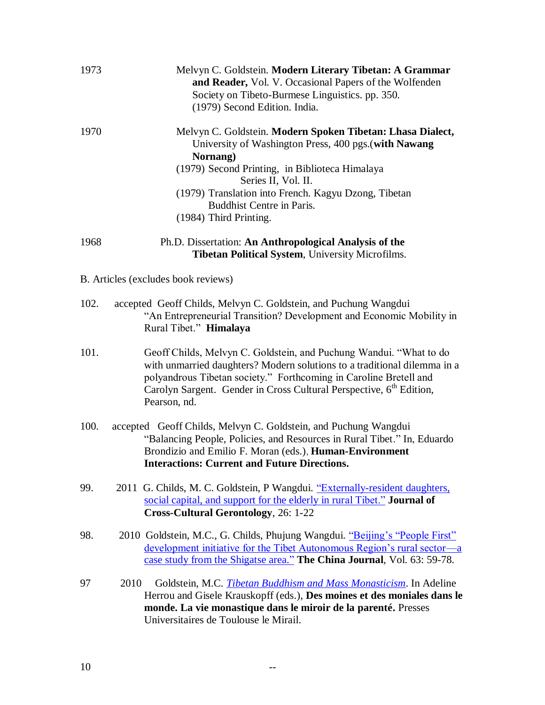| 1973 |      | Melvyn C. Goldstein. Modern Literary Tibetan: A Grammar<br>and Reader, Vol. V. Occasional Papers of the Wolfenden<br>Society on Tibeto-Burmese Linguistics. pp. 350.<br>(1979) Second Edition. India.                                                                                                                   |
|------|------|-------------------------------------------------------------------------------------------------------------------------------------------------------------------------------------------------------------------------------------------------------------------------------------------------------------------------|
| 1970 |      | Melvyn C. Goldstein. Modern Spoken Tibetan: Lhasa Dialect,<br>University of Washington Press, 400 pgs. (with Nawang<br>Nornang)<br>(1979) Second Printing, in Biblioteca Himalaya<br>Series II, Vol. II.<br>(1979) Translation into French. Kagyu Dzong, Tibetan<br>Buddhist Centre in Paris.<br>(1984) Third Printing. |
| 1968 |      | Ph.D. Dissertation: An Anthropological Analysis of the<br><b>Tibetan Political System, University Microfilms.</b>                                                                                                                                                                                                       |
|      |      | B. Articles (excludes book reviews)                                                                                                                                                                                                                                                                                     |
| 102. |      | accepted Geoff Childs, Melvyn C. Goldstein, and Puchung Wangdui<br>"An Entrepreneurial Transition? Development and Economic Mobility in<br>Rural Tibet." Himalaya                                                                                                                                                       |
| 101. |      | Geoff Childs, Melvyn C. Goldstein, and Puchung Wandui. "What to do<br>with unmarried daughters? Modern solutions to a traditional dilemma in a<br>polyandrous Tibetan society." Forthcoming in Caroline Bretell and<br>Carolyn Sargent. Gender in Cross Cultural Perspective, 6 <sup>th</sup> Edition,<br>Pearson, nd.  |
| 100. |      | accepted Geoff Childs, Melvyn C. Goldstein, and Puchung Wangdui<br>"Balancing People, Policies, and Resources in Rural Tibet." In, Eduardo<br>Brondizio and Emilio F. Moran (eds.), Human-Environment<br><b>Interactions: Current and Future Directions.</b>                                                            |
| 99.  |      | 2011 G. Childs, M. C. Goldstein, P Wangdui. "Externally-resident daughters,<br>social capital, and support for the elderly in rural Tibet." Journal of<br><b>Cross-Cultural Gerontology</b> , 26: 1-22                                                                                                                  |
| 98.  |      | 2010 Goldstein, M.C., G. Childs, Phujung Wangdui. "Beijing's "People First"<br>development initiative for the Tibet Autonomous Region's rural sector-a<br>case study from the Shigatse area." The China Journal, Vol. 63: 59-78.                                                                                        |
| 97   | 2010 | Goldstein, M.C. Tibetan Buddhism and Mass Monasticism. In Adeline<br>Herrou and Gisele Krauskopff (eds.), Des moines et des moniales dans le<br>monde. La vie monastique dans le miroir de la parenté. Presses<br>Universitaires de Toulouse le Mirail.                                                                 |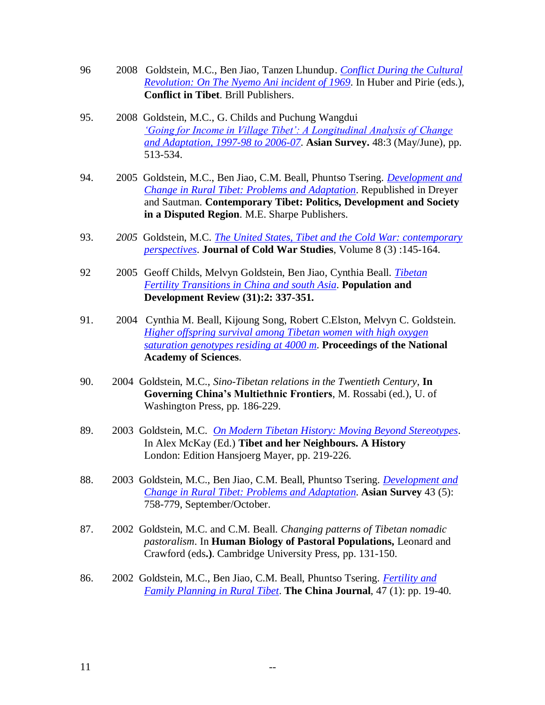- 96 2008 Goldstein, M.C., Ben Jiao, Tanzen Lhundup. *[Conflict During the Cultural](http://www.case.edu/affil/tibet/documents/ASurveypublishedpaper.pdf) [Revolution: On The Nyemo Ani incident of 1969](http://www.case.edu/affil/tibet/documents/ASurveypublishedpaper.pdf)*. In Huber and Pirie (eds.), **Conflict in Tibet**. Brill Publishers.
- 95. 2008 Goldstein, M.C., G. Childs and Puchung Wangdui *['Going for Income in Village Tibet': A Longitudinal Analysis of Change](http://www.case.edu/affil/tibet/documents/ASurveypublishedpaper.pdf) [and Adaptation, 1997-98 to 2006-07](http://www.case.edu/affil/tibet/documents/ASurveypublishedpaper.pdf)*. **Asian Survey.** 48:3 (May/June), pp. 513-534.
- 94. 2005 Goldstein, M.C., Ben Jiao, C.M. Beall, Phuntso Tsering. *[Development and](http://www.cecc.gov/pages/roundtables/031904/Goldstein2004Tibet.pdf?PHPSESSID=24cb69a95b2ff6c55741573b837c7efd) [Change in Rural Tibet: Problems and Adaptation.](http://www.cecc.gov/pages/roundtables/031904/Goldstein2004Tibet.pdf?PHPSESSID=24cb69a95b2ff6c55741573b837c7efd)* Republished in Dreyer and Sautman. **Contemporary Tibet: Politics, Development and Society in a Disputed Region**. M.E. Sharpe Publishers.
- 93. *2005* Goldstein, M.C. *[The United States, Tibet and the Cold War: contemporary](http://www.case.edu/affil/tibet/tibetanSociety/documents/TheUnitedStatesTibetandtheColdWar.pdf) [perspectives](http://www.case.edu/affil/tibet/tibetanSociety/documents/TheUnitedStatesTibetandtheColdWar.pdf)*. **Journal of Cold War Studies**, Volume 8 (3) :145-164.
- 92 2005 Geoff Childs, Melvyn Goldstein, Ben Jiao, Cynthia Beall. *[Tibetan](http://www.case.edu/affil/tibet/booksAndPapers/Tibetan.fertility.transitions.in.china.and.south.asia.pdf) [Fertility Transitions in China and south Asia](http://www.case.edu/affil/tibet/booksAndPapers/Tibetan.fertility.transitions.in.china.and.south.asia.pdf)*. **Population and Development Review (31):2: 337-351.**
- 91. 2004 Cynthia M. Beall, Kijoung Song, Robert C.Elston, Melvyn C. Goldstein. *[Higher offspring survival among Tibetan women with high oxygen](http://www.case.edu/affil/tibet/booksAndPapers/beall,%20song,%20elston%20&%20goldstein%202004.pdf) [saturation genotypes residing at 4000 m](http://www.case.edu/affil/tibet/booksAndPapers/beall,%20song,%20elston%20&%20goldstein%202004.pdf)*. **Proceedings of the National Academy of Sciences**.
- 90. 2004 Goldstein, M.C., *Sino-Tibetan relations in the Twentieth Century*, **In Governing China's Multiethnic Frontiers**, M. Rossabi (ed.), U. of Washington Press, pp. 186-229.
- 89. 2003 Goldstein, M.C. *[On Modern Tibetan History: Moving Beyond Stereotypes](http://www.case.edu/affil/tibet/documents/Di4700702151414.pdf)*. In Alex McKay (Ed.) **Tibet and her Neighbours. A History** London: Edition Hansjoerg Mayer, pp. 219-226.
- 88. 2003 Goldstein, M.C., Ben Jiao, C.M. Beall, Phuntso Tsering. *[Development and](http://www.cecc.gov/pages/roundtables/031904/Goldstein2004Tibet.pdf?PHPSESSID=24cb69a95b2ff6c55741573b837c7efd) [Change in Rural Tibet: Problems and Adaptation.](http://www.cecc.gov/pages/roundtables/031904/Goldstein2004Tibet.pdf?PHPSESSID=24cb69a95b2ff6c55741573b837c7efd)* **Asian Survey** 43 (5): 758-779, September/October.
- 87. 2002 Goldstein, M.C. and C.M. Beall. *Changing patterns of Tibetan nomadic pastoralism*. In **Human Biology of Pastoral Populations,** Leonard and Crawford (eds**.)**. Cambridge University Press, pp. 131-150.
- 86. 2002 Goldstein, M.C., Ben Jiao, C.M. Beall, Phuntso Tsering. *[Fertility and](http://www.case.edu/affil/tibet/booksAndPapers/fertility.and.family.planning.in.rural.tibet.pdf) [Family Planning in Rural Tibet](http://www.case.edu/affil/tibet/booksAndPapers/fertility.and.family.planning.in.rural.tibet.pdf)*. **The China Journal**, 47 (1): pp. 19-40.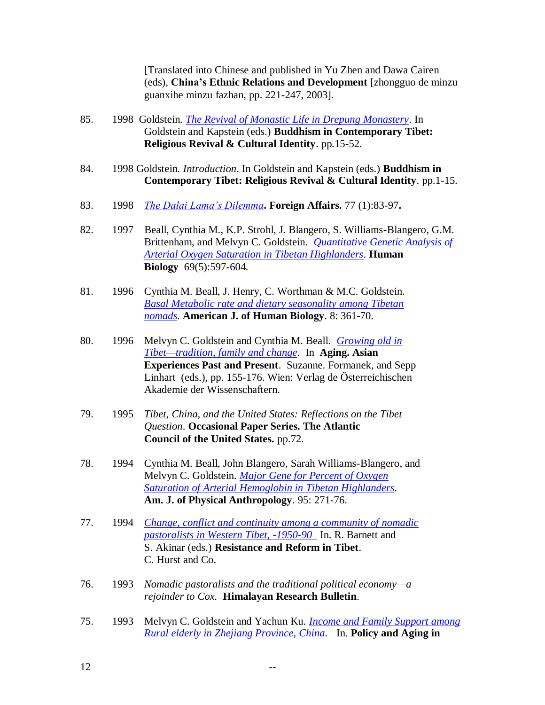[Translated into Chinese and published in Yu Zhen and Dawa Cairen (eds), **China's Ethnic Relations and Development** [zhongguo de minzu guanxihe minzu fazhan, pp. 221-247, 2003].

- 85. 1998 Goldstein. *[The Revival of Monastic Life in Drepung Monastery](http://www.case.edu/affil/tibet/documents/Di4700702151410.pdf)*. In Goldstein and Kapstein (eds.) **Buddhism in Contemporary Tibet: Religious Revival & Cultural Identity**. pp.15-52.
- 84. 1998 Goldstein. *Introduction*. In Goldstein and Kapstein (eds.) **Buddhism in Contemporary Tibet: Religious Revival & Cultural Identity**. pp.1-15.
- 83. 1998 *[The Dalai Lama's Dilemma](http://www.case.edu/affil/tibet/documents/Di4700702151408.pdf)***. Foreign Affairs.** 77 (1):83-97**.**
- 82. 1997 Beall, Cynthia M., K.P. Strohl, J. Blangero, S. Williams-Blangero, G.M. Brittenham, and Melvyn C. Goldstein. *[Quantitative Genetic Analysis of](http://www.case.edu/affil/tibet/booksAndPapers/Quantitative_Genetic.pdf) [Arterial Oxygen Saturation in Tibetan Highlanders](http://www.case.edu/affil/tibet/booksAndPapers/Quantitative_Genetic.pdf)*. **Human Biology** 69(5):597-604.
- 81. 1996 Cynthia M. Beall, J. Henry, C. Worthman & M.C. Goldstein. *[Basal Metabolic rate and dietary seasonality among Tibetan](http://www.case.edu/affil/tibet/booksAndPapers/BMR.htm?nw_view=1294333067&) [nomads.](http://www.case.edu/affil/tibet/booksAndPapers/BMR.htm?nw_view=1294333067&)* **American J. of Human Biology**. 8: 361-70.
- 80. 1996 Melvyn C. Goldstein and Cynthia M. Beall. *[Growing old in](../CV%20Articles/Growing%20old%20in%20Tibet-%20tradition%20family%20and%20change.pdf) [Tibet—tradition, family and change.](../CV%20Articles/Growing%20old%20in%20Tibet-%20tradition%20family%20and%20change.pdf)* In **Aging. Asian Experiences Past and Present**. Suzanne. Formanek, and Sepp Linhart (eds.), pp. 155-176. Wien: Verlag de Österreichischen Akademie der Wissenschaftern.
- 79. 1995 *Tibet, China, and the United States: Reflections on the Tibet Question*. **Occasional Paper Series. The Atlantic Council of the United States.** pp.72.
- 78. 1994 Cynthia M. Beall, John Blangero, Sarah Williams-Blangero, and Melvyn C. Goldstein. *[Major Gene for Percent of Oxygen](http://www.case.edu/affil/tibet/booksAndPapers/Major%20Gene.pdf) [Saturation of Arterial Hemoglobin in Tibetan Highlanders](http://www.case.edu/affil/tibet/booksAndPapers/Major%20Gene.pdf)*. **Am. J. of Physical Anthropology**. 95: 271-76.
- 77. 1994 *[Change, conflict and continuity among a community of nomadic](../CV%20Articles/What_is_Tibet_NEW.pdf) [pastoralists in Western Tibet, -1950-90](../CV%20Articles/What_is_Tibet_NEW.pdf)* In. R. Barnett and S. Akinar (eds.) **Resistance and Reform in Tibet**. C. Hurst and Co.
- 76. 1993 *Nomadic pastoralists and the traditional political economy—a rejoinder to Cox.* **Himalayan Research Bulletin**.
- 75. 1993 Melvyn C. Goldstein and Yachun Ku. *[Income and Family Support among](http://www.case.edu/affil/tibet/documents/Incomeandfamilysupport.pdf) [Rural elderly in Zhejiang Province, China.](http://www.case.edu/affil/tibet/documents/Incomeandfamilysupport.pdf)* In. **Policy and Aging in**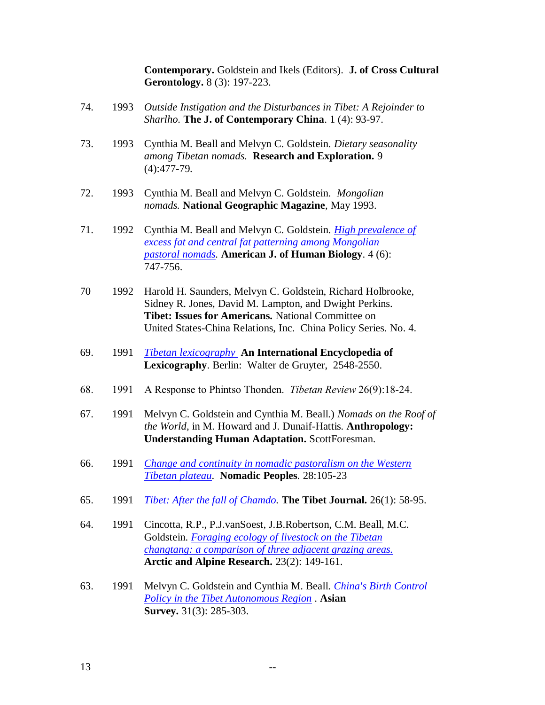**Contemporary.** Goldstein and Ikels (Editors). **J. of Cross Cultural Gerontology.** 8 (3): 197-223.

- 74. 1993 *Outside Instigation and the Disturbances in Tibet: A Rejoinder to Sharlho.* **The J. of Contemporary China**. 1 (4): 93-97.
- 73. 1993 Cynthia M. Beall and Melvyn C. Goldstein. *Dietary seasonality among Tibetan nomads.* **Research and Exploration.** 9 (4):477-79.
- 72. 1993 Cynthia M. Beall and Melvyn C. Goldstein. *Mongolian nomads.* **National Geographic Magazine**, May 1993.
- 71. 1992 Cynthia M. Beall and Melvyn C. Goldstein. *[High prevalence of](http://www.case.edu/affil/tibet/documents/HighPrevalence.pdf) [excess fat and central fat patterning among Mongolian](http://www.case.edu/affil/tibet/documents/HighPrevalence.pdf) [pastoral nomads.](http://www.case.edu/affil/tibet/documents/HighPrevalence.pdf)* **American J. of Human Biology**. 4 (6): 747-756.
- 70 1992 Harold H. Saunders, Melvyn C. Goldstein, Richard Holbrooke, Sidney R. Jones, David M. Lampton, and Dwight Perkins. **Tibet: Issues for Americans.** National Committee on United States-China Relations, Inc. China Policy Series. No. 4.
- 69. 1991 *[Tibetan lexicography](http://www.case.edu/affil/tibet/documents/Dictionary.pdf)* **An International Encyclopedia of Lexicography**. Berlin: Walter de Gruyter, 2548-2550.
- 68. 1991 A Response to Phintso Thonden. *Tibetan Review* 26(9):18-24.
- 67. 1991 Melvyn C. Goldstein and Cynthia M. Beall.) *Nomads on the Roof of the World*, in M. Howard and J. Dunaif-Hattis. **Anthropology: Understanding Human Adaptation.** ScottForesman.
- 66. 1991 *[Change and continuity in nomadic pastoralism on the Western](http://www.case.edu/affil/tibet/booksAndPapers/Change_and_Continuity_Nomadic_Tibet.htm?nw_view=1294332697&) [Tibetan plateau](http://www.case.edu/affil/tibet/booksAndPapers/Change_and_Continuity_Nomadic_Tibet.htm?nw_view=1294332697&)*. **Nomadic Peoples**. 28:105-23
- 65. 1991 *[Tibet: After the fall of Chamdo.](http://www.case.edu/affil/tibet/documents/AfterFallofChamdo.pdf)* **The Tibet Journal.** 26(1): 58-95.
- 64. 1991 Cincotta, R.P., P.J.vanSoest, J.B.Robertson, C.M. Beall, M.C. Goldstein. *[Foraging ecology of livestock on the Tibetan](http://www.cwru.edu/affil/tibet/booksAndPapers/foraging.html?nw_view=1294332640&) [changtang: a comparison of three adjacent grazing areas.](http://www.cwru.edu/affil/tibet/booksAndPapers/foraging.html?nw_view=1294332640&)* **Arctic and Alpine Research.** 23(2): 149-161.
- 63. 1991 Melvyn C. Goldstein and Cynthia M. Beall. *[China's Birth Control](http://www.case.edu/affil/tibet/booksAndPapers/china.birth.control.policy.in.the.tibet.autonomous.region.pdf) [Policy in the Tibet Autonomous Region](http://www.case.edu/affil/tibet/booksAndPapers/china.birth.control.policy.in.the.tibet.autonomous.region.pdf)* . **Asian Survey.** 31(3): 285-303.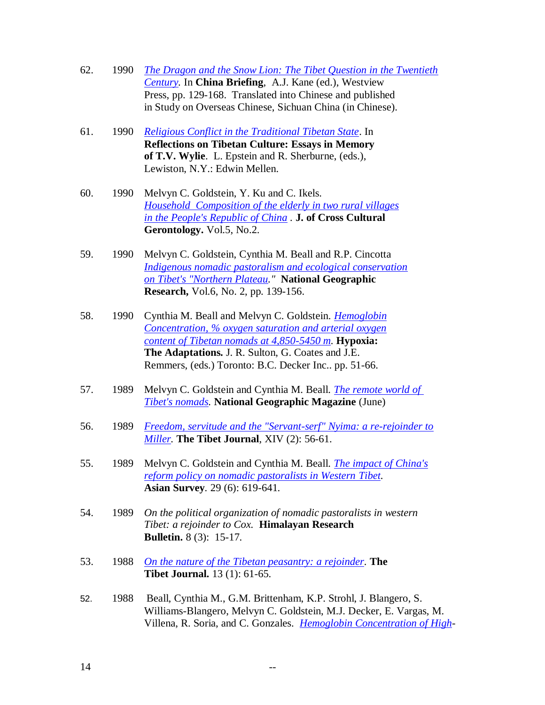- 62. 1990 *[The Dragon and the Snow Lion: The Tibet Question in the Twentieth](http://www.case.edu/affil/tibet/documents/DragonandSnowLion.pdf) [Century.](http://www.case.edu/affil/tibet/documents/DragonandSnowLion.pdf)* In **China Briefing**, A.J. Kane (ed.), Westview Press, pp. 129-168. Translated into Chinese and published in Study on Overseas Chinese, Sichuan China (in Chinese).
- 61. 1990 *[Religious Conflict in the Traditional Tibetan State](http://www.case.edu/affil/tibet/booksAndPapers/conflict.html?nw_view=1294332549&)*. In **Reflections on Tibetan Culture: Essays in Memory of T.V. Wylie**. L. Epstein and R. Sherburne, (eds.), Lewiston, N.Y.: Edwin Mellen.
- 60. 1990 Melvyn C. Goldstein, Y. Ku and C. Ikels. *[Household Composition of the elderly in two rural villages](http://www.case.edu/affil/tibet/documents/HouseholdComposition.pdf) [in the People's Republic of China](http://www.case.edu/affil/tibet/documents/HouseholdComposition.pdf) .* **J. of Cross Cultural Gerontology.** Vol.5, No.2.
- 59. 1990 Melvyn C. Goldstein, Cynthia M. Beall and R.P. Cincotta *[Indigenous nomadic pastoralism and ecological conservation](http://www.cwru.edu/affil/tibet/booksAndPapers/pastoralism.html?nw_view=1294332411&) [on Tibet's "Northern Plateau.](http://www.cwru.edu/affil/tibet/booksAndPapers/pastoralism.html?nw_view=1294332411&)"* **National Geographic Research,** Vol.6, No. 2, pp. 139-156.
- 58. 1990 Cynthia M. Beall and Melvyn C. Goldstein. *[Hemoglobin](../CV%20Articles/Hemoglobin%20Concentration.pdf) [Concentration, % oxygen saturation and arterial oxygen](../CV%20Articles/Hemoglobin%20Concentration.pdf) [content of Tibetan nomads at 4,850-5450 m.](../CV%20Articles/Hemoglobin%20Concentration.pdf)* **Hypoxia: The Adaptations.** J. R. Sulton, G. Coates and J.E. Remmers, (eds.) Toronto: B.C. Decker Inc.. pp. 51-66.
- 57. 1989 Melvyn C. Goldstein and Cynthia M. Beall. *[The remote world of](http://www.cwru.edu/affil/tibet/booksAndPapers/Remote%20World%20of%20Tibet)  [Tibet's nomads.](http://www.cwru.edu/affil/tibet/booksAndPapers/Remote%20World%20of%20Tibet)* **National Geographic Magazine** (June)
- 56. 1989 *[Freedom, servitude and the "Servant-serf" Nyima: a re-rejoinder to](http://www.case.edu/affil/tibet/booksAndPapers/mmdebate-mcg2.pdf) [Miller.](http://www.case.edu/affil/tibet/booksAndPapers/mmdebate-mcg2.pdf)* **The Tibet Journal**, XIV (2): 56-61.
- 55. 1989 Melvyn C. Goldstein and Cynthia M. Beall. *[The impact of China's](http://www.cwru.edu/affil/tibet/booksAndPapers/Impact_China_Reform_Policy.htm?nw_view=1294332258&) [reform policy on nomadic pastoralists in Western](http://www.cwru.edu/affil/tibet/booksAndPapers/Impact_China_Reform_Policy.htm?nw_view=1294332258&) Tibet.*  **Asian Survey***.* 29 (6): 619-641.
- 54. 1989 *On the political organization of nomadic pastoralists in western Tibet: a rejoinder to Cox.* **Himalayan Research Bulletin.** 8 (3): 15-17.
- 53. 1988 *[On the nature of the Tibetan peasantry: a rejoinder.](http://www.case.edu/affil/tibet/booksAndPapers/mmdebate-mcg1.pdf)* **The Tibet Journal.** 13 (1): 61-65.
- 52. 1988 Beall, Cynthia M., G.M. Brittenham, K.P. Strohl, J. Blangero, S. Williams-Blangero, Melvyn C. Goldstein, M.J. Decker, E. Vargas, M. Villena, R. Soria, and C. Gonzales. *[Hemoglobin Concentration of High-](http://www.case.edu/affil/tibet/booksAndPapers/Hemoglobin%20Conc-Tibetans.pdf)*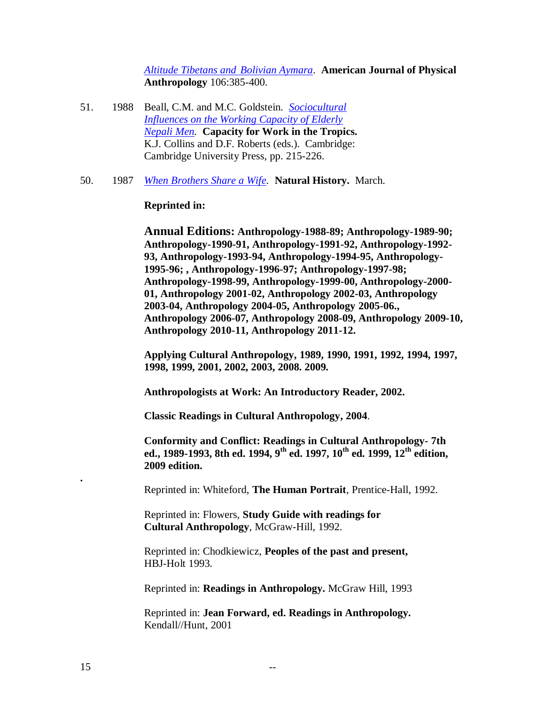*[Altitude Tibetans and Bolivian Aymara](http://www.case.edu/affil/tibet/booksAndPapers/Hemoglobin%20Conc-Tibetans.pdf)*. **American Journal of Physical Anthropology** 106:385-400.

- 51. 1988 Beall, C.M. and M.C. Goldstein. *[Sociocultural](http://www.case.edu/affil/tibet/documents/SocioculturalInfluences.pdf) [Influences on the Working Capacity of Elderly](http://www.case.edu/affil/tibet/documents/SocioculturalInfluences.pdf) [Nepali Men.](http://www.case.edu/affil/tibet/documents/SocioculturalInfluences.pdf)* **Capacity for Work in the Tropics.**  K.J. Collins and D.F. Roberts (eds.). Cambridge: Cambridge University Press, pp. 215-226.
- 50. 1987 *[When Brothers Share a Wife.](http://www.case.edu/affil/tibet/booksAndPapers/family.html?nw_view=1294331800&)* **Natural History.** March.

#### **Reprinted in:**

**Annual Editions: Anthropology-1988-89; Anthropology-1989-90; Anthropology-1990-91, Anthropology-1991-92, Anthropology-1992- 93, Anthropology-1993-94, Anthropology-1994-95, Anthropology-1995-96; , Anthropology-1996-97; Anthropology-1997-98; Anthropology-1998-99, Anthropology-1999-00, Anthropology-2000- 01, Anthropology 2001-02, Anthropology 2002-03, Anthropology 2003-04, Anthropology 2004-05, Anthropology 2005-06., Anthropology 2006-07, Anthropology 2008-09, Anthropology 2009-10, Anthropology 2010-11, Anthropology 2011-12.**

**Applying Cultural Anthropology, 1989, 1990, 1991, 1992, 1994, 1997, 1998, 1999, 2001, 2002, 2003, 2008. 2009.**

**Anthropologists at Work: An Introductory Reader, 2002.**

**Classic Readings in Cultural Anthropology, 2004**.

**Conformity and Conflict: Readings in Cultural Anthropology- 7th ed., 1989-1993, 8th ed. 1994, 9th ed. 1997, 10th ed. 1999, 12th edition, 2009 edition.**

Reprinted in: Whiteford, **The Human Portrait**, Prentice-Hall, 1992.

Reprinted in: Flowers, **Study Guide with readings for Cultural Anthropology**, McGraw-Hill, 1992.

Reprinted in: Chodkiewicz, **Peoples of the past and present,**  HBJ-Holt 1993.

Reprinted in: **Readings in Anthropology.** McGraw Hill, 1993

Reprinted in: **Jean Forward, ed. Readings in Anthropology.**  Kendall//Hunt, 2001

**.**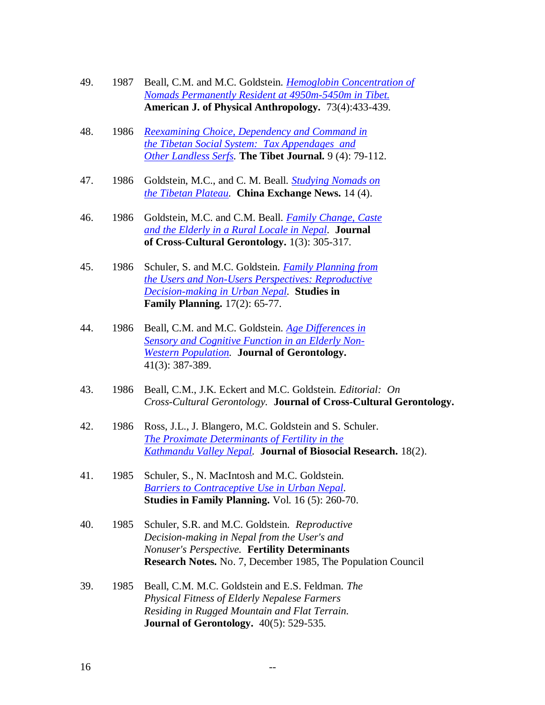- 49. 1987 Beall, C.M. and M.C. Goldstein. *[Hemoglobin Concentration of](http://www.case.edu/affil/tibet/booksAndPapers/Hemoglobin%20Concentration.pdf) [Nomads Permanently Resident at 4950m-5450m in Tibet.](http://www.case.edu/affil/tibet/booksAndPapers/Hemoglobin%20Concentration.pdf)* **American J. of Physical Anthropology.** 73(4):433-439.
- 48. 1986 *[Reexamining Choice, Dependency and Command in](http://www.case.edu/affil/tibet/booksAndPapers/mmdebate-orig.pdf) [the Tibetan Social System: Tax Appendages and](http://www.case.edu/affil/tibet/booksAndPapers/mmdebate-orig.pdf) [Other Landless Serfs.](http://www.case.edu/affil/tibet/booksAndPapers/mmdebate-orig.pdf)* **The Tibet Journal.** 9 (4): 79-112.
- 47. 1986 Goldstein, M.C., and C. M. Beall. *[Studying Nomads on](../CV%20Articles/Studying%20Nomads%20on%20the%20Tibetan%20Plateau.pdf) [the Tibetan Plateau.](../CV%20Articles/Studying%20Nomads%20on%20the%20Tibetan%20Plateau.pdf)* **China Exchange News.** 14 (4).
- 46. 1986 Goldstein, M.C. and C.M. Beall. *[Family Change, Caste](http://www.case.edu/affil/tibet/documents/FamilyChange.pdf) [and the Elderly in a Rural Locale in Nepal.](http://www.case.edu/affil/tibet/documents/FamilyChange.pdf)* **Journal of Cross**-**Cultural Gerontology.** 1(3): 305-317.
- 45. 1986 Schuler, S. and M.C. Goldstein. *[Family Planning from](../CV%20Articles/Family%20Planning%20from%20the%20Users%20and%20Non-Users%20Perspectives%201986.pdf) [the Users and Non-Users Perspectives: Reproductive](../CV%20Articles/Family%20Planning%20from%20the%20Users%20and%20Non-Users%20Perspectives%201986.pdf) [Decision-making in Urban Nepal.](../CV%20Articles/Family%20Planning%20from%20the%20Users%20and%20Non-Users%20Perspectives%201986.pdf)* **Studies in Family Planning.** 17(2): 65-77.
- 44. 1986 Beall, C.M. and M.C. Goldstein. *[Age Differences in](http://www.case.edu/affil/tibet/documents/AgeDifferences.pdf) [Sensory and Cognitive Function in an Elderly Non-](http://www.case.edu/affil/tibet/documents/AgeDifferences.pdf)[Western Population.](http://www.case.edu/affil/tibet/documents/AgeDifferences.pdf)* **Journal of Gerontology.**  41(3): 387-389.
- 43. 1986 Beall, C.M., J.K. Eckert and M.C. Goldstein. *Editorial: On Cross-Cultural Gerontology.* **Journal of Cross-Cultural Gerontology.**
- 42. 1986 Ross, J.L., J. Blangero, M.C. Goldstein and S. Schuler. *[The Proximate Determinants of Fertility in the](http://www.case.edu/affil/tibet/documents/ProximateDeterminants.pdf) [Kathmandu Valley Nepal.](http://www.case.edu/affil/tibet/documents/ProximateDeterminants.pdf)* **Journal of Biosocial Research.** 18(2).
- 41. 1985 Schuler, S., N. MacIntosh and M.C. Goldstein. *[Barriers to Contraceptive Use in Urban Nepal.](http://www.case.edu/affil/tibet/documents/Barriers.pdf)* **Studies in Family Planning.** Vol. 16 (5): 260-70.
- 40. 1985 Schuler, S.R. and M.C. Goldstein. *Reproductive Decision-making in Nepal from the User's and Nonuser's Perspective.* **Fertility Determinants Research Notes.** No. 7, December 1985, The Population Council
- 39. 1985 Beall, C.M. M.C. Goldstein and E.S. Feldman. *The Physical Fitness of Elderly Nepalese Farmers Residing in Rugged Mountain and Flat Terrain.*  **Journal of Gerontology.** 40(5): 529-535.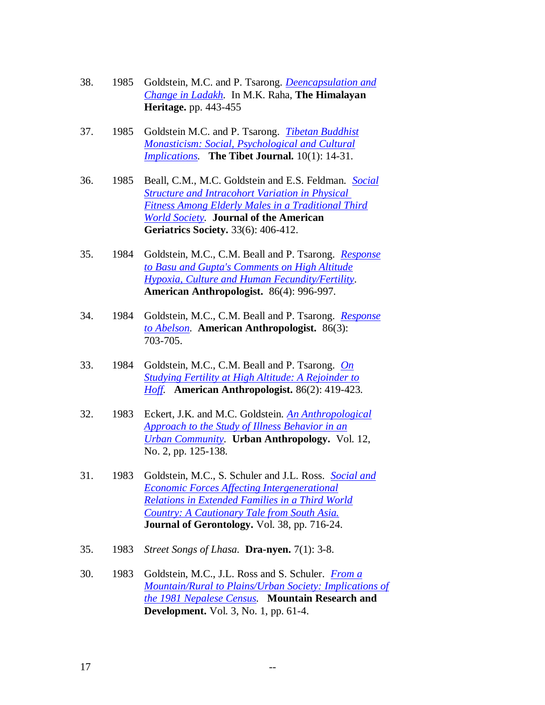- 38. 1985 Goldstein, M.C. and P. Tsarong. *[Deencapsulation and](../CV%20Articles/De-encapsulation%20and%20change%20in%20Ladakh.pdf)  [Change in Ladakh.](../CV%20Articles/De-encapsulation%20and%20change%20in%20Ladakh.pdf)* In M.K. Raha, **The Himalayan Heritage.** pp. 443-455
- 37. 1985 Goldstein M.C. and P. Tsarong. *[Tibetan Buddhist](http://www.case.edu/affil/tibet/booksAndPapers/buddhistmonasticism.PDF) [Monasticism: Social, Psychological and Cultural](http://www.case.edu/affil/tibet/booksAndPapers/buddhistmonasticism.PDF) [Implications.](http://www.case.edu/affil/tibet/booksAndPapers/buddhistmonasticism.PDF)* **The Tibet Journal.** 10(1): 14-31.
- 36. 1985 Beall, C.M., M.C. Goldstein and E.S. Feldman. *[Social](http://www.case.edu/affil/tibet/documents/Di4700702221306.pdf) [Structure and Intracohort Variation in Physical](http://www.case.edu/affil/tibet/documents/Di4700702221306.pdf)  [Fitness Among Elderly Males in a Traditional Third](http://www.case.edu/affil/tibet/documents/Di4700702221306.pdf) [World Society.](http://www.case.edu/affil/tibet/documents/Di4700702221306.pdf)* **Journal of the American Geriatrics Society.** 33(6): 406-412.
- 35. 1984 Goldstein, M.C., C.M. Beall and P. Tsarong. *[Response](../CV%20Articles/Response%20to%20Basu%20and%20Gupta%201984.pdf) [to Basu and Gupta's Comments on High Altitude](../CV%20Articles/Response%20to%20Basu%20and%20Gupta%201984.pdf) [Hypoxia, Culture and Human Fecundity/Fertility.](../CV%20Articles/Response%20to%20Basu%20and%20Gupta%201984.pdf)* **American Anthropologist.** 86(4): 996-997.
- 34. 1984 Goldstein, M.C., C.M. Beall and P. Tsarong. *[Response](../CV%20Articles/Response%20to%20Abelson%201984.pdf) [to Abelson.](../CV%20Articles/Response%20to%20Abelson%201984.pdf)* **American Anthropologist.** 86(3): 703-705.
- 33. 1984 Goldstein, M.C., C.M. Beall and P. Tsarong. *[On](../CV%20Articles/On%20Studying%20Fertility%20at%20High%20Altitude%201984.pdf) [Studying Fertility at High Altitude: A Rejoinder to](../CV%20Articles/On%20Studying%20Fertility%20at%20High%20Altitude%201984.pdf) [Hoff.](../CV%20Articles/On%20Studying%20Fertility%20at%20High%20Altitude%201984.pdf)* **American Anthropologist.** 86(2): 419-423.
- 32. 1983 Eckert, J.K. and M.C. Goldstein. *[An Anthropological](http://www.case.edu/affil/tibet/documents/IllnessBehavior.pdf) [Approach to the Study of Illness Behavior in an](http://www.case.edu/affil/tibet/documents/IllnessBehavior.pdf) [Urban Community.](http://www.case.edu/affil/tibet/documents/IllnessBehavior.pdf)* **Urban Anthropology.** Vol. 12, No. 2, pp. 125-138.
- 31. 1983 Goldstein, M.C., S. Schuler and J.L. Ross. *[Social and](../CV%20Articles/Social%20and%20Economic%20Forces%20Affecting%20Intergenerational%20Relations%20in%20Extended%20Families%20in%20a%20Third%20World%20country%201983.pdf) [Economic Forces Affecting Intergenerational](../CV%20Articles/Social%20and%20Economic%20Forces%20Affecting%20Intergenerational%20Relations%20in%20Extended%20Families%20in%20a%20Third%20World%20country%201983.pdf) [Relations in Extended Families in a Third World](../CV%20Articles/Social%20and%20Economic%20Forces%20Affecting%20Intergenerational%20Relations%20in%20Extended%20Families%20in%20a%20Third%20World%20country%201983.pdf) Country: [A Cautionary Tale from South Asia.](../CV%20Articles/Social%20and%20Economic%20Forces%20Affecting%20Intergenerational%20Relations%20in%20Extended%20Families%20in%20a%20Third%20World%20country%201983.pdf)* **Journal of Gerontology.** Vol. 38, pp. 716-24.
- 35. 1983 *Street Songs of Lhasa.* **Dra-nyen.** 7(1): 3-8.
- 30. 1983 Goldstein, M.C., J.L. Ross and S. Schuler. *[From a](http://www.case.edu/affil/tibet/documents/FromAMountain-Rural.pdf) [Mountain/Rural to Plains/Urban Society: Implications of](http://www.case.edu/affil/tibet/documents/FromAMountain-Rural.pdf) [the 1981 Nepalese Census.](http://www.case.edu/affil/tibet/documents/FromAMountain-Rural.pdf)* **Mountain Research and Development.** Vol. 3, No. 1, pp. 61-4.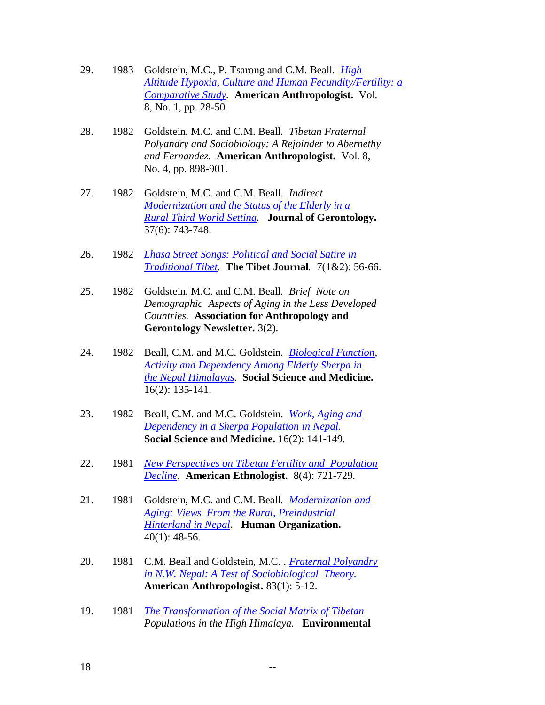- 29. 1983 Goldstein, M.C., P. Tsarong and C.M. Beall. *[High](http://www.case.edu/affil/tibet/documents/HighAtltitudeHypoxia.pdf) [Altitude Hypoxia, Culture and Human Fecundity/Fertility: a](http://www.case.edu/affil/tibet/documents/HighAtltitudeHypoxia.pdf) [Comparative Study.](http://www.case.edu/affil/tibet/documents/HighAtltitudeHypoxia.pdf)* **American Anthropologist.** Vol. 8, No. 1, pp. 28-50.
- 28. 1982 Goldstein, M.C. and C.M. Beall. *Tibetan Fraternal Polyandry and Sociobiology: A Rejoinder to Abernethy and Fernandez.* **American Anthropologist.** Vol. 8, No. 4, pp. 898-901.
- 27. 1982 Goldstein, M.C. and C.M. Beall. *Indirect [Modernization and the Status of the Elderly in a](http://www.case.edu/affil/tibet/documents/IndirectModernization.pdf) [Rural Third World Setting.](http://www.case.edu/affil/tibet/documents/IndirectModernization.pdf)* **Journal of Gerontology.**  37(6): 743-748.
- 26. 1982 *[Lhasa Street Songs: Political and Social Satire in](http://www.case.edu/affil/tibet/booksAndPapers/lhasa.street.songs.pdf) [Traditional Tibet.](http://www.case.edu/affil/tibet/booksAndPapers/lhasa.street.songs.pdf)* **The Tibet Journal***.* 7(1&2): 56-66.
- 25. 1982 Goldstein, M.C. and C.M. Beall. *Brief Note on Demographic Aspects of Aging in the Less Developed Countries.* **Association for Anthropology and Gerontology Newsletter.** 3(2).
- 24. 1982 Beall, C.M. and M.C. Goldstein. *[Biological Function,](http://www.case.edu/affil/tibet/documents/bio_fx_activity_elderly.pdf) [Activity and Dependency Among Elderly Sherpa in](http://www.case.edu/affil/tibet/documents/bio_fx_activity_elderly.pdf) [the Nepal Himalayas.](http://www.case.edu/affil/tibet/documents/bio_fx_activity_elderly.pdf)* **Social Science and Medicine.**  16(2): 135-141.
- 23. 1982 Beall, C.M. and M.C. Goldstein. *[Work, Aging and](http://www.case.edu/affil/tibet/documents/work_aging_dependency.pdf) [Dependency in a Sherpa Population in Nepal.](http://www.case.edu/affil/tibet/documents/work_aging_dependency.pdf)* **Social Science and Medicine.** 16(2): 141-149.
- 22. 1981 *[New Perspectives on Tibetan Fertility and Population](http://www.case.edu/affil/tibet/documents/NewperspectivesonTibetanFertility.pdf) [Decline.](http://www.case.edu/affil/tibet/documents/NewperspectivesonTibetanFertility.pdf)* **American Ethnologist.** 8(4): 721-729.
- 21. 1981 Goldstein, M.C. and C.M. Beall. *[Modernization and](http://www.case.edu/affil/tibet/documents/modernization_aging.pdf) [Aging: Views From the Rural, Preindustrial](http://www.case.edu/affil/tibet/documents/modernization_aging.pdf) [Hinterland in Nepal.](http://www.case.edu/affil/tibet/documents/modernization_aging.pdf)* **Human Organization.**  40(1): 48-56.
- 20. 1981 C.M. Beall and Goldstein, M.C. . *[Fraternal Polyandry](http://www.case.edu/affil/tibet/booksAndPapers/fraternalpolyandry.html?nw_view=1294330725&) [in N.W. Nepal: A Test of Sociobiological Theory.](http://www.case.edu/affil/tibet/booksAndPapers/fraternalpolyandry.html?nw_view=1294330725&)* **American Anthropologist.** 83(1): 5-12.
- 19. 1981 *[The Transformation of the Social Matrix of Tibetan](http://www.case.edu/affil/tibet/documents/Di4700702201454.pdf) Populations in the High Himalaya.* **Environmental**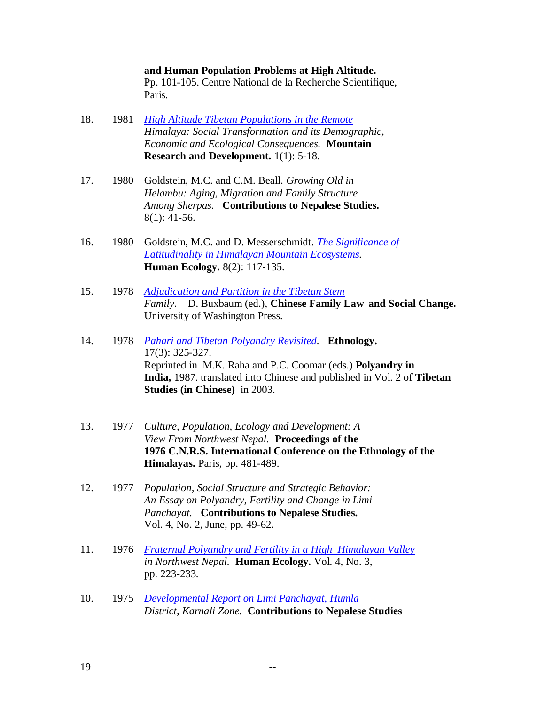**and Human Population Problems at High Altitude.** Pp. 101-105. Centre National de la Recherche Scientifique, Paris.

- 18. 1981 *[High Altitude Tibetan Populations in the Remote](http://www.case.edu/affil/tibet/documents/Di4700702201450.pdf) Himalaya: Social Transformation and its Demographic, Economic and Ecological Consequences.* **Mountain Research and Development.** 1(1): 5-18.
- 17. 1980 Goldstein, M.C. and C.M. Beall. *Growing Old in Helambu: Aging, Migration and Family Structure Among Sherpas.* **Contributions to Nepalese Studies.**  8(1): 41-56.
- 16. 1980 Goldstein, M.C. and D. Messerschmidt. *[The Significance of](../CV%20Articles/The%20Significance%20of%20Latitudinality%20in%20Himalayan%20Mountain%20Ecosystems%201980.pdf) [Latitudinality in Himalayan Mountain Ecosystems.](../CV%20Articles/The%20Significance%20of%20Latitudinality%20in%20Himalayan%20Mountain%20Ecosystems%201980.pdf)*  **Human Ecology.** 8(2): 117-135.
- 15. 1978 *[Adjudication and Partition in the Tibetan Stem](http://www.case.edu/affil/tibet/booksAndPapers/Stem_Family.pdf) Family.* D. Buxbaum (ed.), **Chinese Family Law and Social Change.**  University of Washington Press.
- 14. 1978 *[Pahari and Tibetan Polyandry Revisited.](http://www.case.edu/affil/tibet/booksAndPapers/pahari.html?nw_view=1294163221&)* **Ethnology.**  17(3): 325-327. Reprinted in M.K. Raha and P.C. Coomar (eds.) **Polyandry in India,** 1987. translated into Chinese and published in Vol. 2 of **Tibetan Studies (in Chinese)** in 2003.
- 13. 1977 *Culture, Population, Ecology and Development: A View From Northwest Nepal.* **Proceedings of the 1976 C.N.R.S. International Conference on the Ethnology of the Himalayas.** Paris, pp. 481-489.
- 12. 1977 *Population, Social Structure and Strategic Behavior: An Essay on Polyandry, Fertility and Change in Limi Panchayat.* **Contributions to Nepalese Studies.**  Vol. 4, No. 2, June, pp. 49-62.
- 11. 1976 *[Fraternal Polyandry and Fertility in a High Himalayan Valley](http://www.case.edu/affil/tibet/booksAndPapers/fraternal.html?nw_view=1294163162&) in Northwest Nepal.* **Human Ecology.** Vol. 4, No. 3, pp. 223-233.
- 10. 1975 *[Developmental Report on Limi Panchayat, Humla](http://www.case.edu/affil/tibet/booksAndPapers/limi.panchayat.pdf) District, Karnali Zone.* **Contributions to Nepalese Studies**